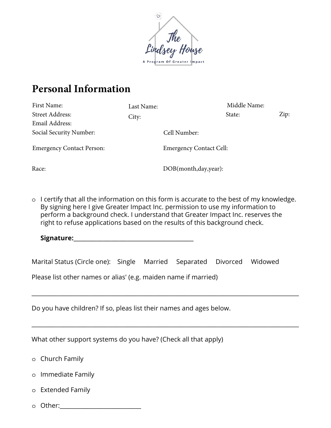

## **Personal Information**

| First Name:                      | Last Name: | Middle Name:                   |      |  |
|----------------------------------|------------|--------------------------------|------|--|
| Street Address:                  | City:      | State:                         | Zip: |  |
| Email Address:                   |            |                                |      |  |
| Social Security Number:          |            | Cell Number:                   |      |  |
| <b>Emergency Contact Person:</b> |            | <b>Emergency Contact Cell:</b> |      |  |
| Race:                            |            | DOB(month,day,year):           |      |  |

o I certify that all the information on this form is accurate to the best of my knowledge. By signing here I give Greater Impact Inc. permission to use my information to perform a background check. I understand that Greater Impact Inc. reserves the right to refuse applications based on the results of this background check.

**Signature:** 

| Marital Status (Circle one): Single Married Separated Divorced Widowed |  |  |  |  |  |
|------------------------------------------------------------------------|--|--|--|--|--|
|------------------------------------------------------------------------|--|--|--|--|--|

\_\_\_\_\_\_\_\_\_\_\_\_\_\_\_\_\_\_\_\_\_\_\_\_\_\_\_\_\_\_\_\_\_\_\_\_\_\_\_\_\_\_\_\_\_\_\_\_\_\_\_\_\_\_\_\_\_\_\_\_\_\_\_\_\_\_\_\_\_\_\_\_\_\_\_\_\_\_\_\_\_\_\_\_\_\_\_\_\_\_\_\_

\_\_\_\_\_\_\_\_\_\_\_\_\_\_\_\_\_\_\_\_\_\_\_\_\_\_\_\_\_\_\_\_\_\_\_\_\_\_\_\_\_\_\_\_\_\_\_\_\_\_\_\_\_\_\_\_\_\_\_\_\_\_\_\_\_\_\_\_\_\_\_\_\_\_\_\_\_\_\_\_\_\_\_\_\_\_\_\_\_\_\_\_

Please list other names or alias' (e.g. maiden name if married)

Do you have children? If so, pleas list their names and ages below.

What other support systems do you have? (Check all that apply)

- o Church Family
- o Immediate Family
- o Extended Family
- $\circ$  Other: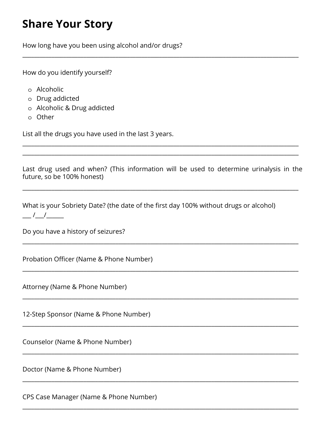## **Share Your Story**

How long have you been using alcohol and/or drugs?

How do you identify yourself?

- o Alcoholic
- o Drug addicted
- o Alcoholic & Drug addicted
- o Other

List all the drugs you have used in the last 3 years.

Last drug used and when? (This information will be used to determine urinalysis in the future, so be 100% honest)

\_\_\_\_\_\_\_\_\_\_\_\_\_\_\_\_\_\_\_\_\_\_\_\_\_\_\_\_\_\_\_\_\_\_\_\_\_\_\_\_\_\_\_\_\_\_\_\_\_\_\_\_\_\_\_\_\_\_\_\_\_\_\_\_\_\_\_\_\_\_\_\_\_\_\_\_\_\_\_\_\_\_\_\_\_\_\_\_\_\_\_\_\_\_\_

\_\_\_\_\_\_\_\_\_\_\_\_\_\_\_\_\_\_\_\_\_\_\_\_\_\_\_\_\_\_\_\_\_\_\_\_\_\_\_\_\_\_\_\_\_\_\_\_\_\_\_\_\_\_\_\_\_\_\_\_\_\_\_\_\_\_\_\_\_\_\_\_\_\_\_\_\_\_\_\_\_\_\_\_\_\_\_\_\_\_\_\_\_\_\_

\_\_\_\_\_\_\_\_\_\_\_\_\_\_\_\_\_\_\_\_\_\_\_\_\_\_\_\_\_\_\_\_\_\_\_\_\_\_\_\_\_\_\_\_\_\_\_\_\_\_\_\_\_\_\_\_\_\_\_\_\_\_\_\_\_\_\_\_\_\_\_\_\_\_\_\_\_\_\_\_\_\_\_\_\_\_\_\_\_\_\_\_\_\_\_

\_\_\_\_\_\_\_\_\_\_\_\_\_\_\_\_\_\_\_\_\_\_\_\_\_\_\_\_\_\_\_\_\_\_\_\_\_\_\_\_\_\_\_\_\_\_\_\_\_\_\_\_\_\_\_\_\_\_\_\_\_\_\_\_\_\_\_\_\_\_\_\_\_\_\_\_\_\_\_\_\_\_\_\_\_\_\_\_\_\_\_\_\_\_\_

\_\_\_\_\_\_\_\_\_\_\_\_\_\_\_\_\_\_\_\_\_\_\_\_\_\_\_\_\_\_\_\_\_\_\_\_\_\_\_\_\_\_\_\_\_\_\_\_\_\_\_\_\_\_\_\_\_\_\_\_\_\_\_\_\_\_\_\_\_\_\_\_\_\_\_\_\_\_\_\_\_\_\_\_\_\_\_\_\_\_\_\_\_\_\_

\_\_\_\_\_\_\_\_\_\_\_\_\_\_\_\_\_\_\_\_\_\_\_\_\_\_\_\_\_\_\_\_\_\_\_\_\_\_\_\_\_\_\_\_\_\_\_\_\_\_\_\_\_\_\_\_\_\_\_\_\_\_\_\_\_\_\_\_\_\_\_\_\_\_\_\_\_\_\_\_\_\_\_\_\_\_\_\_\_\_\_\_\_\_\_

\_\_\_\_\_\_\_\_\_\_\_\_\_\_\_\_\_\_\_\_\_\_\_\_\_\_\_\_\_\_\_\_\_\_\_\_\_\_\_\_\_\_\_\_\_\_\_\_\_\_\_\_\_\_\_\_\_\_\_\_\_\_\_\_\_\_\_\_\_\_\_\_\_\_\_\_\_\_\_\_\_\_\_\_\_\_\_\_\_\_\_\_\_\_\_

\_\_\_\_\_\_\_\_\_\_\_\_\_\_\_\_\_\_\_\_\_\_\_\_\_\_\_\_\_\_\_\_\_\_\_\_\_\_\_\_\_\_\_\_\_\_\_\_\_\_\_\_\_\_\_\_\_\_\_\_\_\_\_\_\_\_\_\_\_\_\_\_\_\_\_\_\_\_\_\_\_\_\_\_\_\_\_\_\_\_\_\_\_\_\_

\_\_\_\_\_\_\_\_\_\_\_\_\_\_\_\_\_\_\_\_\_\_\_\_\_\_\_\_\_\_\_\_\_\_\_\_\_\_\_\_\_\_\_\_\_\_\_\_\_\_\_\_\_\_\_\_\_\_\_\_\_\_\_\_\_\_\_\_\_\_\_\_\_\_\_\_\_\_\_\_\_\_\_\_\_\_\_\_\_\_\_\_\_\_\_ \_\_\_\_\_\_\_\_\_\_\_\_\_\_\_\_\_\_\_\_\_\_\_\_\_\_\_\_\_\_\_\_\_\_\_\_\_\_\_\_\_\_\_\_\_\_\_\_\_\_\_\_\_\_\_\_\_\_\_\_\_\_\_\_\_\_\_\_\_\_\_\_\_\_\_\_\_\_\_\_\_\_\_\_\_\_\_\_\_\_\_\_\_\_\_

\_\_\_\_\_\_\_\_\_\_\_\_\_\_\_\_\_\_\_\_\_\_\_\_\_\_\_\_\_\_\_\_\_\_\_\_\_\_\_\_\_\_\_\_\_\_\_\_\_\_\_\_\_\_\_\_\_\_\_\_\_\_\_\_\_\_\_\_\_\_\_\_\_\_\_\_\_\_\_\_\_\_\_\_\_\_\_\_\_\_\_\_\_\_\_

What is your Sobriety Date? (the date of the first day 100% without drugs or alcohol)  $\frac{\frac{1}{2}$  /  $\frac{1}{2}$  /  $\frac{1}{2}$  /  $\frac{1}{2}$  /  $\frac{1}{2}$  /  $\frac{1}{2}$  /  $\frac{1}{2}$  /  $\frac{1}{2}$  /  $\frac{1}{2}$  /  $\frac{1}{2}$  /  $\frac{1}{2}$  /  $\frac{1}{2}$  /  $\frac{1}{2}$  /  $\frac{1}{2}$  /  $\frac{1}{2}$  /  $\frac{1}{2}$  /  $\frac{1}{2}$  /  $\frac{1}{2}$  /  $\frac$ 

Do you have a history of seizures?

Probation Officer (Name & Phone Number)

Attorney (Name & Phone Number)

12-Step Sponsor (Name & Phone Number)

Counselor (Name & Phone Number)

Doctor (Name & Phone Number)

CPS Case Manager (Name & Phone Number)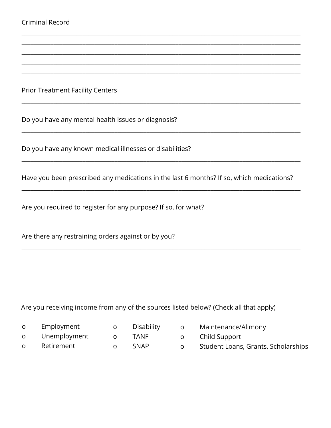Prior Treatment Facility Centers

Do you have any mental health issues or diagnosis?

Do you have any known medical illnesses or disabilities?

Have you been prescribed any medications in the last 6 months? If so, which medications?

\_\_\_\_\_\_\_\_\_\_\_\_\_\_\_\_\_\_\_\_\_\_\_\_\_\_\_\_\_\_\_\_\_\_\_\_\_\_\_\_\_\_\_\_\_\_\_\_\_\_\_\_\_\_\_\_\_\_\_\_\_\_\_\_\_\_\_\_\_\_\_\_\_\_\_\_\_\_\_\_\_\_\_\_\_\_\_\_\_\_\_\_\_\_\_\_

\_\_\_\_\_\_\_\_\_\_\_\_\_\_\_\_\_\_\_\_\_\_\_\_\_\_\_\_\_\_\_\_\_\_\_\_\_\_\_\_\_\_\_\_\_\_\_\_\_\_\_\_\_\_\_\_\_\_\_\_\_\_\_\_\_\_\_\_\_\_\_\_\_\_\_\_\_\_\_\_\_\_\_\_\_\_\_\_\_\_\_\_\_\_\_\_

\_\_\_\_\_\_\_\_\_\_\_\_\_\_\_\_\_\_\_\_\_\_\_\_\_\_\_\_\_\_\_\_\_\_\_\_\_\_\_\_\_\_\_\_\_\_\_\_\_\_\_\_\_\_\_\_\_\_\_\_\_\_\_\_\_\_\_\_\_\_\_\_\_\_\_\_\_\_\_\_\_\_\_\_\_\_\_\_\_\_\_\_\_\_\_\_

\_\_\_\_\_\_\_\_\_\_\_\_\_\_\_\_\_\_\_\_\_\_\_\_\_\_\_\_\_\_\_\_\_\_\_\_\_\_\_\_\_\_\_\_\_\_\_\_\_\_\_\_\_\_\_\_\_\_\_\_\_\_\_\_\_\_\_\_\_\_\_\_\_\_\_\_\_\_\_\_\_\_\_\_\_\_\_\_\_\_\_\_\_\_\_\_ \_\_\_\_\_\_\_\_\_\_\_\_\_\_\_\_\_\_\_\_\_\_\_\_\_\_\_\_\_\_\_\_\_\_\_\_\_\_\_\_\_\_\_\_\_\_\_\_\_\_\_\_\_\_\_\_\_\_\_\_\_\_\_\_\_\_\_\_\_\_\_\_\_\_\_\_\_\_\_\_\_\_\_\_\_\_\_\_\_\_\_\_\_\_\_\_ \_\_\_\_\_\_\_\_\_\_\_\_\_\_\_\_\_\_\_\_\_\_\_\_\_\_\_\_\_\_\_\_\_\_\_\_\_\_\_\_\_\_\_\_\_\_\_\_\_\_\_\_\_\_\_\_\_\_\_\_\_\_\_\_\_\_\_\_\_\_\_\_\_\_\_\_\_\_\_\_\_\_\_\_\_\_\_\_\_\_\_\_\_\_\_\_ \_\_\_\_\_\_\_\_\_\_\_\_\_\_\_\_\_\_\_\_\_\_\_\_\_\_\_\_\_\_\_\_\_\_\_\_\_\_\_\_\_\_\_\_\_\_\_\_\_\_\_\_\_\_\_\_\_\_\_\_\_\_\_\_\_\_\_\_\_\_\_\_\_\_\_\_\_\_\_\_\_\_\_\_\_\_\_\_\_\_\_\_\_\_\_\_ \_\_\_\_\_\_\_\_\_\_\_\_\_\_\_\_\_\_\_\_\_\_\_\_\_\_\_\_\_\_\_\_\_\_\_\_\_\_\_\_\_\_\_\_\_\_\_\_\_\_\_\_\_\_\_\_\_\_\_\_\_\_\_\_\_\_\_\_\_\_\_\_\_\_\_\_\_\_\_\_\_\_\_\_\_\_\_\_\_\_\_\_\_\_\_\_

\_\_\_\_\_\_\_\_\_\_\_\_\_\_\_\_\_\_\_\_\_\_\_\_\_\_\_\_\_\_\_\_\_\_\_\_\_\_\_\_\_\_\_\_\_\_\_\_\_\_\_\_\_\_\_\_\_\_\_\_\_\_\_\_\_\_\_\_\_\_\_\_\_\_\_\_\_\_\_\_\_\_\_\_\_\_\_\_\_\_\_\_\_\_\_\_

\_\_\_\_\_\_\_\_\_\_\_\_\_\_\_\_\_\_\_\_\_\_\_\_\_\_\_\_\_\_\_\_\_\_\_\_\_\_\_\_\_\_\_\_\_\_\_\_\_\_\_\_\_\_\_\_\_\_\_\_\_\_\_\_\_\_\_\_\_\_\_\_\_\_\_\_\_\_\_\_\_\_\_\_\_\_\_\_\_\_\_\_\_\_\_\_

\_\_\_\_\_\_\_\_\_\_\_\_\_\_\_\_\_\_\_\_\_\_\_\_\_\_\_\_\_\_\_\_\_\_\_\_\_\_\_\_\_\_\_\_\_\_\_\_\_\_\_\_\_\_\_\_\_\_\_\_\_\_\_\_\_\_\_\_\_\_\_\_\_\_\_\_\_\_\_\_\_\_\_\_\_\_\_\_\_\_\_\_\_\_\_\_

Are you required to register for any purpose? If so, for what?

Are there any restraining orders against or by you?

Are you receiving income from any of the sources listed below? (Check all that apply)

- o Employment
- o Disability
- o Unemployment o Retirement
- o TANF
- o SNAP
- o Maintenance/Alimony
- o Child Support
- o Student Loans, Grants, Scholarships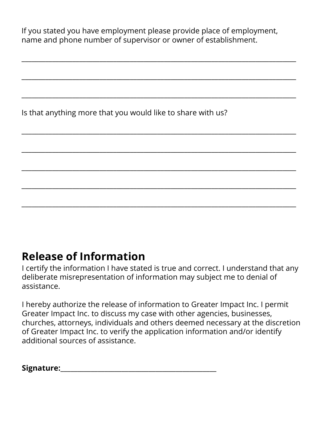If you stated you have employment please provide place of employment, name and phone number of supervisor or owner of establishment.

\_\_\_\_\_\_\_\_\_\_\_\_\_\_\_\_\_\_\_\_\_\_\_\_\_\_\_\_\_\_\_\_\_\_\_\_\_\_\_\_\_\_\_\_\_\_\_\_\_\_\_\_\_\_\_\_\_\_\_\_\_\_\_\_\_\_\_\_\_\_\_\_\_\_\_\_\_\_\_\_\_

\_\_\_\_\_\_\_\_\_\_\_\_\_\_\_\_\_\_\_\_\_\_\_\_\_\_\_\_\_\_\_\_\_\_\_\_\_\_\_\_\_\_\_\_\_\_\_\_\_\_\_\_\_\_\_\_\_\_\_\_\_\_\_\_\_\_\_\_\_\_\_\_\_\_\_\_\_\_\_\_\_

\_\_\_\_\_\_\_\_\_\_\_\_\_\_\_\_\_\_\_\_\_\_\_\_\_\_\_\_\_\_\_\_\_\_\_\_\_\_\_\_\_\_\_\_\_\_\_\_\_\_\_\_\_\_\_\_\_\_\_\_\_\_\_\_\_\_\_\_\_\_\_\_\_\_\_\_\_\_\_\_\_

\_\_\_\_\_\_\_\_\_\_\_\_\_\_\_\_\_\_\_\_\_\_\_\_\_\_\_\_\_\_\_\_\_\_\_\_\_\_\_\_\_\_\_\_\_\_\_\_\_\_\_\_\_\_\_\_\_\_\_\_\_\_\_\_\_\_\_\_\_\_\_\_\_\_\_\_\_\_\_\_\_

\_\_\_\_\_\_\_\_\_\_\_\_\_\_\_\_\_\_\_\_\_\_\_\_\_\_\_\_\_\_\_\_\_\_\_\_\_\_\_\_\_\_\_\_\_\_\_\_\_\_\_\_\_\_\_\_\_\_\_\_\_\_\_\_\_\_\_\_\_\_\_\_\_\_\_\_\_\_\_\_\_

\_\_\_\_\_\_\_\_\_\_\_\_\_\_\_\_\_\_\_\_\_\_\_\_\_\_\_\_\_\_\_\_\_\_\_\_\_\_\_\_\_\_\_\_\_\_\_\_\_\_\_\_\_\_\_\_\_\_\_\_\_\_\_\_\_\_\_\_\_\_\_\_\_\_\_\_\_\_\_\_\_

\_\_\_\_\_\_\_\_\_\_\_\_\_\_\_\_\_\_\_\_\_\_\_\_\_\_\_\_\_\_\_\_\_\_\_\_\_\_\_\_\_\_\_\_\_\_\_\_\_\_\_\_\_\_\_\_\_\_\_\_\_\_\_\_\_\_\_\_\_\_\_\_\_\_\_\_\_\_\_\_\_

\_\_\_\_\_\_\_\_\_\_\_\_\_\_\_\_\_\_\_\_\_\_\_\_\_\_\_\_\_\_\_\_\_\_\_\_\_\_\_\_\_\_\_\_\_\_\_\_\_\_\_\_\_\_\_\_\_\_\_\_\_\_\_\_\_\_\_\_\_\_\_\_\_\_\_\_\_\_\_\_\_

Is that anything more that you would like to share with us?

## **Release of Information**

I certify the information I have stated is true and correct. I understand that any deliberate misrepresentation of information may subject me to denial of assistance.

I hereby authorize the release of information to Greater Impact Inc. I permit Greater Impact Inc. to discuss my case with other agencies, businesses, churches, attorneys, individuals and others deemed necessary at the discretion of Greater Impact Inc. to verify the application information and/or identify additional sources of assistance.

| Signature: |  |
|------------|--|
|            |  |